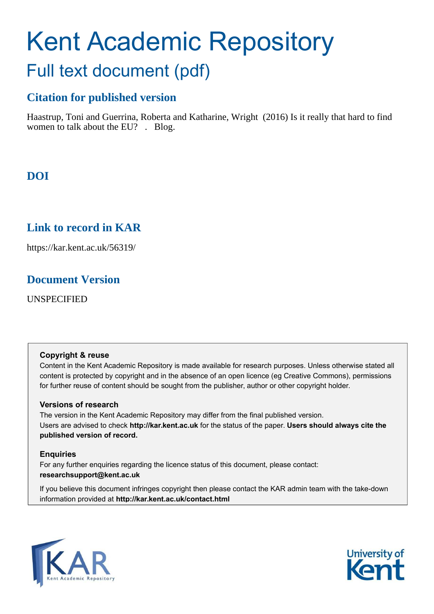# Kent Academic Repository Full text document (pdf)

## **Citation for published version**

Haastrup, Toni and Guerrina, Roberta and Katharine, Wright (2016) Is it really that hard to find women to talk about the EU? . Blog.

## **DOI**

## **Link to record in KAR**

https://kar.kent.ac.uk/56319/

### **Document Version**

UNSPECIFIED

#### **Copyright & reuse**

Content in the Kent Academic Repository is made available for research purposes. Unless otherwise stated all content is protected by copyright and in the absence of an open licence (eg Creative Commons), permissions for further reuse of content should be sought from the publisher, author or other copyright holder.

#### **Versions of research**

The version in the Kent Academic Repository may differ from the final published version. Users are advised to check **http://kar.kent.ac.uk** for the status of the paper. **Users should always cite the published version of record.**

#### **Enquiries**

For any further enquiries regarding the licence status of this document, please contact: **researchsupport@kent.ac.uk**

If you believe this document infringes copyright then please contact the KAR admin team with the take-down information provided at **http://kar.kent.ac.uk/contact.html**



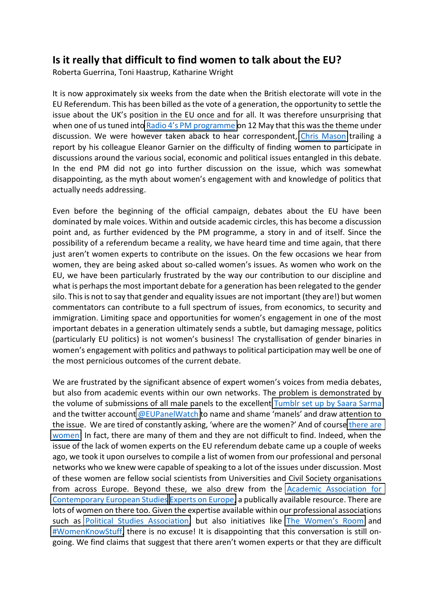#### **Is it really that difficult to find women to talk about the EU?**

Roberta Guerrina, Toni Haastrup, Katharine Wright

It is now approximately six weeks from the date when the British electorate will vote in the EU Referendum. This has been billed as the vote of a generation, the opportunity to settle the issue about the UK's position in the EU once and for all. It was therefore unsurprising that when one of us tuned into Radio 4'[s PM programme o](http://www.bbc.co.uk/programmes/b07bbz3r)n 12 May that this was the theme under discussion. We were however taken aback to hear correspondent, [Chris Mason](https://twitter.com/ChrisMasonBBC?ref_src=twsrc%5Egoogle%7Ctwcamp%5Eserp%7Ctwgr%5Eauthor) trailing a report by his colleague Eleanor Garnier on the difficulty of finding women to participate in discussions around the various social, economic and political issues entangled in this debate. In the end PM did not go into further discussion on the issue, which was somewhat disappointing, as the myth about women's engagement with and knowledge of politics that actually needs addressing.

Even before the beginning of the official campaign, debates about the EU have been dominated by male voices. Within and outside academic circles, this has become a discussion point and, as further evidenced by the PM programme, a story in and of itself. Since the possibility of a referendum became a reality, we have heard time and time again, that there just aren't women experts to contribute on the issues. On the few occasions we hear from women, they are being asked about so-called women's issues. As women who work on the EU, we have been particularly frustrated by the way our contribution to our discipline and what is perhaps the most important debate for a generation has been relegated to the gender silo. This is not to say that gender and equality issues are not important (they are!) but women commentators can contribute to a full spectrum of issues, from economics, to security and immigration. Limiting space and opportunities for women's engagement in one of the most important debates in a generation ultimately sends a subtle, but damaging message, politics (particularly EU politics) is not women's business! The crystallisation of gender binaries in women's engagement with politics and pathways to political participation may well be one of the most pernicious outcomes of the current debate.

We are frustrated by the significant absence of expert women's voices from media debates, but also from academic events within our own networks. The problem is demonstrated by the volume of submissions of all male panels to the excellent [Tumblr set up by Saara Sarma](http://www.bbc.co.uk/news/blogs-trending-32789580) and the twitter account [@EUPanelWatch](https://twitter.com/eupanelwatch) to name and shame 'manels' and draw attention to the issue. We are tired of constantly asking, 'where are the women?' And of course there are [women!](https://psawomenpolitics.com/) In fact, there are many of them and they are not difficult to find. Indeed, when the issue of the lack of women experts on the EU referendum debate came up a couple of weeks ago, we took it upon ourselves to compile a list of women from our professional and personal networks who we knew were capable of speaking to a lot of the issues under discussion. Most of these women are fellow social scientists from Universities and Civil Society organisations from across Europe. Beyond these, we also drew from the [Academic Association for](http://www.uaces.org/)  [Contemporary European Studies](http://www.uaces.org/) [Experts on Europe,](http://www.uaces.org/expertoneurope/) a publically available resource. There are lots of women on there too. Given the expertise available within our professional associations such as [Political Studies Association,](https://www.psa.ac.uk/) but also initiatives like The Women's Room and [#WomenKnowStuff,](http://womenalsoknowstuff.com/) there is no excuse! It is disappointing that this conversation is still ongoing. We find claims that suggest that there aren't women experts or that they are difficult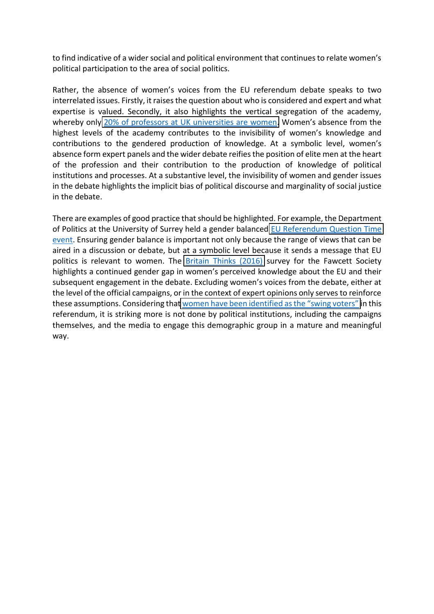to find indicative of a wider social and political environment that continues to relate women's political participation to the area of social politics.

Rather, the absence of women's voices from the EU referendum debate speaks to two interrelated issues. Firstly, it raises the question about who is considered and expert and what expertise is valued. Secondly, it also highlights the vertical segregation of the academy, whereby only [20% of professors at UK universities are women.](https://www.timeshighereducation.com/news/gender-survey-of-uk-professoriate-2013/2004766.article) Women's absence from the highest levels of the academy contributes to the invisibility of women's knowledge and contributions to the gendered production of knowledge. At a symbolic level, women's absence form expert panels and the wider debate reifies the position of elite men at the heart of the profession and their contribution to the production of knowledge of political institutions and processes. At a substantive level, the invisibility of women and gender issues in the debate highlights the implicit bias of political discourse and marginality of social justice in the debate.

There are examples of good practice that should be highlighted. For example, the Department of Politics at the University of Surrey held a gender balanced [EU Referendum Question Time](http://www.surrey.ac.uk/politics/news/events/2016/eu_referendum_question_time.htm)  event. Ensuring gender balance is important not only because the range of views that can be aired in a discussion or debate, but at a symbolic level because it sends a message that EU politics is relevant to women. The [Britain Thinks \(2016\)](http://blogs.lse.ac.uk/brexitvote/2016/01/06/dont-know-where-the-women-are-why-the-eu-referendum-campaigns-havent-engaged-female-voters/) survey for the Fawcett Society highlights a continued gender gap in women's perceived knowledge about the EU and their subsequent engagement in the debate. Excluding women's voices from the debate, either at the level of the official campaigns, or in the context of expert opinions only serves to reinforce these assumptions. Considering that women have been identified as the "swing voters" in this referendum, it is striking more is not done by political institutions, including the campaigns themselves, and the media to engage this demographic group in a mature and meaningful way.